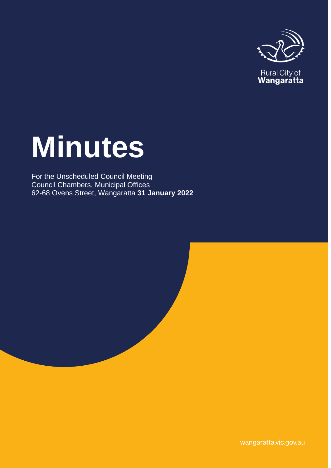

Rural City of<br>**Wangaratta** 

# **Minutes**

For the Unscheduled Council Meeting Council Chambers, Municipal Offices 62-68 Ovens Street, Wangaratta **31 January 2022**

wangaratta.vic.gov.au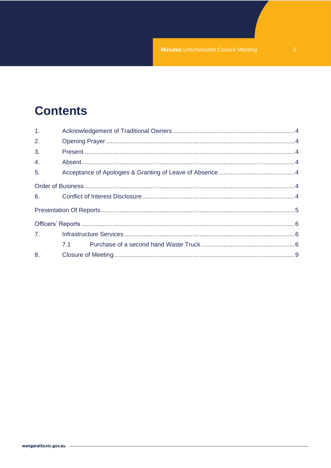## **Contents**

| 1. |     |  |  |  |
|----|-----|--|--|--|
| 2. |     |  |  |  |
| 3. |     |  |  |  |
| 4. |     |  |  |  |
| 5. |     |  |  |  |
|    |     |  |  |  |
|    |     |  |  |  |
|    |     |  |  |  |
|    |     |  |  |  |
| 7. |     |  |  |  |
|    | 7.1 |  |  |  |
|    |     |  |  |  |
|    |     |  |  |  |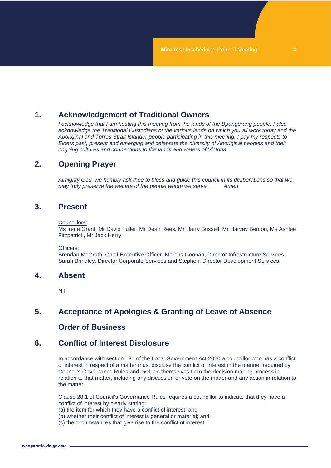## <span id="page-3-0"></span>**1. Acknowledgement of Traditional Owners**

*I acknowledge that I am hosting this meeting from the lands of the Bpangerang people. I also acknowledge the Traditional Custodians of the various lands on which you all work today and the Aboriginal and Torres Strait Islander people participating in this meeting. I pay my respects to Elders past, present and emerging and celebrate the diversity of Aboriginal peoples and their ongoing cultures and connections to the lands and waters of Victoria.*

## <span id="page-3-1"></span>**2. Opening Prayer**

*Almighty God, we humbly ask thee to bless and guide this council in its deliberations so that we may truly preserve the welfare of the people whom we serve. Amen*

## <span id="page-3-2"></span>**3. Present**

#### Councillors:

Ms Irene Grant, Mr David Fuller, Mr Dean Rees, Mr Harry Bussell, Mr Harvey Benton, Ms Ashlee Fitzpatrick, Mr Jack Herry

Officers:

Brendan McGrath, Chief Executive Officer, Marcus Goonan, Director Infrastructure Services, Sarah Brindley, Director Corporate Services and Stephen, Director Development Services.

## <span id="page-3-3"></span>**4. Absent**

Nil

## <span id="page-3-5"></span><span id="page-3-4"></span>**5. Acceptance of Apologies & Granting of Leave of Absence**

## **Order of Business**

## <span id="page-3-6"></span>**6. Conflict of Interest Disclosure**

In accordance with section 130 of the Local Government Act 2020 a councillor who has a conflict of interest in respect of a matter must disclose the conflict of interest in the manner required by Council's Governance Rules and exclude themselves from the decision making process in relation to that matter, including any discussion or vote on the matter and any action in relation to the matter.

Clause 28.1 of Council's Governance Rules requires a councillor to indicate that they have a conflict of interest by clearly stating:

(a) the item for which they have a conflict of interest; and

(b) whether their conflict of interest is general or material; and

(c) the circumstances that give rise to the conflict of interest.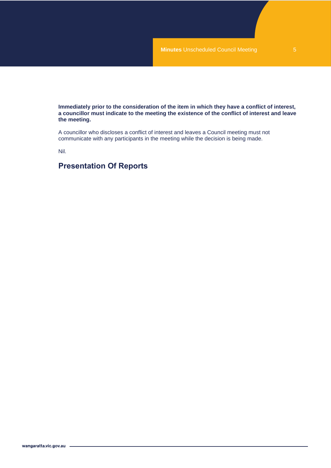**Immediately prior to the consideration of the item in which they have a conflict of interest, a councillor must indicate to the meeting the existence of the conflict of interest and leave the meeting.**

A councillor who discloses a conflict of interest and leaves a Council meeting must not communicate with any participants in the meeting while the decision is being made.

Nil.

## <span id="page-4-0"></span>**Presentation Of Reports**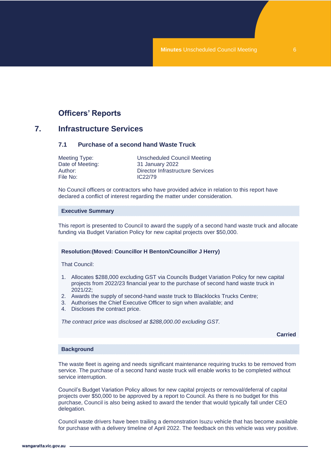## **Officers' Reports**

## <span id="page-5-2"></span><span id="page-5-1"></span><span id="page-5-0"></span>**7. Infrastructure Services**

#### **7.1 Purchase of a second hand Waste Truck**

| Meeting Type:    | Unscheduled Council Meeting      |
|------------------|----------------------------------|
| Date of Meeting: | 31 January 2022                  |
| Author: .        | Director Infrastructure Services |
| File No:         | IC <sub>22/79</sub>              |

No Council officers or contractors who have provided advice in relation to this report have declared a conflict of interest regarding the matter under consideration.

#### **Executive Summary**

This report is presented to Council to award the supply of a second hand waste truck and allocate funding via Budget Variation Policy for new capital projects over \$50,000.

#### **Resolution:(Moved: Councillor H Benton/Councillor J Herry)**

That Council:

- 1. Allocates \$288,000 excluding GST via Councils Budget Variation Policy for new capital projects from 2022/23 financial year to the purchase of second hand waste truck in 2021/22;
- 2. Awards the supply of second-hand waste truck to Blacklocks Trucks Centre;
- 3. Authorises the Chief Executive Officer to sign when available; and
- 4. Discloses the contract price.

*The contract price was disclosed at \$288,000.00 excluding GST.*

**Carried**

#### **Background**

The waste fleet is ageing and needs significant maintenance requiring trucks to be removed from service. The purchase of a second hand waste truck will enable works to be completed without service interruption.

Council's Budget Variation Policy allows for new capital projects or removal/deferral of capital projects over \$50,000 to be approved by a report to Council. As there is no budget for this purchase, Council is also being asked to award the tender that would typically fall under CEO delegation.

Council waste drivers have been trailing a demonstration Isuzu vehicle that has become available for purchase with a delivery timeline of April 2022. The feedback on this vehicle was very positive.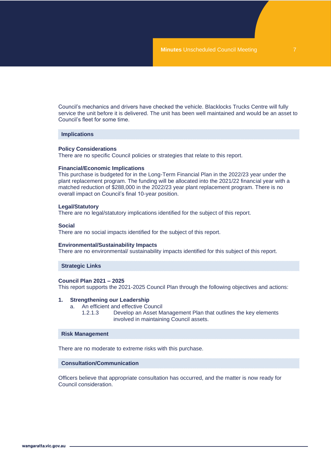Council's mechanics and drivers have checked the vehicle. Blacklocks Trucks Centre will fully service the unit before it is delivered. The unit has been well maintained and would be an asset to Council's fleet for some time.

#### **Implications**

#### **Policy Considerations**

There are no specific Council policies or strategies that relate to this report.

#### **Financial/Economic Implications**

This purchase is budgeted for in the Long-Term Financial Plan in the 2022/23 year under the plant replacement program. The funding will be allocated into the 2021/22 financial year with a matched reduction of \$288,000 in the 2022/23 year plant replacement program. There is no overall impact on Council's final 10-year position.

#### **Legal/Statutory**

There are no legal/statutory implications identified for the subject of this report.

#### **Social**

There are no social impacts identified for the subject of this report.

#### **Environmental/Sustainability Impacts**

There are no environmental/ sustainability impacts identified for this subject of this report.

#### **Strategic Links**

#### **Council Plan 2021 – 2025**

This report supports the 2021-2025 Council Plan through the following objectives and actions:

#### **1. Strengthening our Leadership**

- a. An efficient and effective Council
	- 1.2.1.3 Develop an Asset Management Plan that outlines the key elements involved in maintaining Council assets.

#### **Risk Management**

There are no moderate to extreme risks with this purchase.

#### **Consultation/Communication**

Officers believe that appropriate consultation has occurred, and the matter is now ready for Council consideration.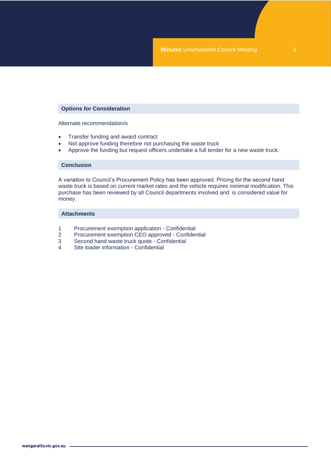#### **Options for Consideration**

Alternate recommendation/s

- Transfer funding and award contract
- Not approve funding therefore not purchasing the waste truck
- Approve the funding but request officers undertake a full tender for a new waste truck.

#### **Conclusion**

A variation to Council's Procurement Policy has been approved. Pricing for the second hand waste truck is based on current market rates and the vehicle requires minimal modification. This purchase has been reviewed by all Council departments involved and is considered value for money.

#### **Attachments**

- 1 Procurement exemption application Confidential<br>2 Procurement exemption CEO approved Confider
- 2 Procurement exemption CEO approved Confidential<br>3 Second hand waste truck quote Confidential
- Second hand waste truck quote Confidential
- 4 Site loader information Confidential